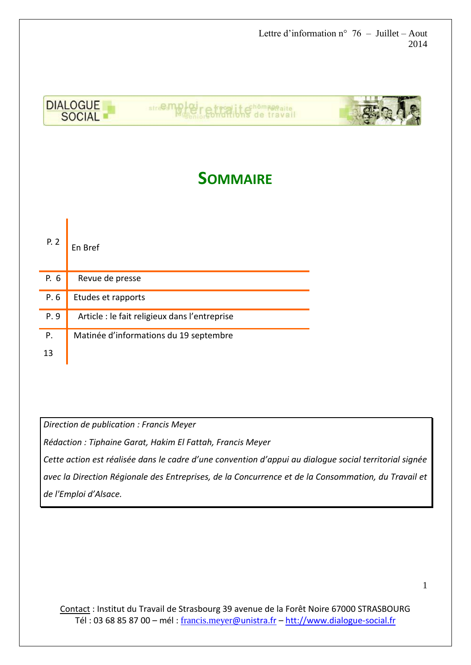

# **SOMMAIRE**

| P. 2 | En Bref                                       |
|------|-----------------------------------------------|
| P. 6 | Revue de presse                               |
| P.6  | Etudes et rapports                            |
| P.9  | Article : le fait religieux dans l'entreprise |
| P.   | Matinée d'informations du 19 septembre        |
| 13   |                                               |

*Direction de publication : Francis Meyer*

*Rédaction : Tiphaine Garat, Hakim El Fattah, Francis Meyer*

*Cette action est réalisée dans le cadre d'une convention d'appui au dialogue social territorial signée avec la Direction Régionale des Entreprises, de la Concurrence et de la Consommation, du Travail et de l'Emploi d'Alsace.*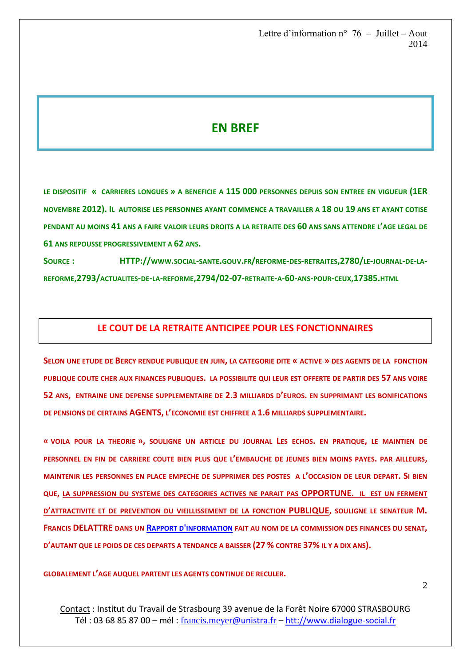## **EN BREF**

**LE DISPOSITIF « CARRIERES LONGUES » A BENEFICIE A 115 000 PERSONNES DEPUIS SON ENTREE EN VIGUEUR (1ER NOVEMBRE 2012). IL AUTORISE LES PERSONNES AYANT COMMENCE A TRAVAILLER A 18 OU 19 ANS ET AYANT COTISE PENDANT AU MOINS 41 ANS A FAIRE VALOIR LEURS DROITS A LA RETRAITE DES 60 ANS SANS ATTENDRE L'AGE LEGAL DE 61 ANS REPOUSSE PROGRESSIVEMENT A 62 ANS.**

SOURCE: HTTP://www.social-sante.gouv.fr/reforme-des-retraites,2780/LE-JOURNAL-DE-LA-REFORME, 2793/ACTUALITES-DE-LA-REFORME, 2794/02-07-RETRAITE-A-60-ANS-POUR-CEUX, 17385.HTML

#### **LE COUT DE LA RETRAITE ANTICIPEE POUR LES FONCTIONNAIRES**

**SELON UNE ETUDE DE BERCY RENDUE PUBLIQUE EN JUIN, LA CATEGORIE DITE « ACTIVE » DES AGENTS DE LA FONCTION PUBLIQUE COUTE CHER AUX FINANCES PUBLIQUES. LA POSSIBILITE QUI LEUR EST OFFERTE DE PARTIR DES 57 ANS VOIRE 52 ANS, ENTRAINE UNE DEPENSE SUPPLEMENTAIRE DE 2.3 MILLIARDS D'EUROS. EN SUPPRIMANT LES BONIFICATIONS DE PENSIONS DE CERTAINS AGENTS, L'ECONOMIE EST CHIFFREE A 1.6 MILLIARDS SUPPLEMENTAIRE.**

**« VOILA POUR LA THEORIE », SOULIGNE UN ARTICLE DU JOURNAL LES ECHOS. EN PRATIQUE, LE MAINTIEN DE PERSONNEL EN FIN DE CARRIERE COUTE BIEN PLUS QUE L'EMBAUCHE DE JEUNES BIEN MOINS PAYES. PAR AILLEURS, MAINTENIR LES PERSONNES EN PLACE EMPECHE DE SUPPRIMER DES POSTES A L'OCCASION DE LEUR DEPART. SI BIEN QUE, LA SUPPRESSION DU SYSTEME DES CATEGORIES ACTIVES NE PARAIT PAS OPPORTUNE. IL EST UN FERMENT D'ATTRACTIVITE ET DE PREVENTION DU VIEILLISSEMENT DE LA FONCTION PUBLIQUE, SOULIGNE LE SENATEUR M. FRANCIS DELATTRE DANS UN RAPPORT D'[INFORMATION](http://www.senat.fr/notice-rapport/2013/r13-704-notice.html) FAIT AU NOM DE LA COMMISSION DES FINANCES DU SENAT, D'AUTANT QUE LE POIDS DE CES DEPARTS A TENDANCE A BAISSER (27 % CONTRE 37% IL Y A DIX ANS).**

**GLOBALEMENT L'AGE AUQUEL PARTENT LES AGENTS CONTINUE DE RECULER.**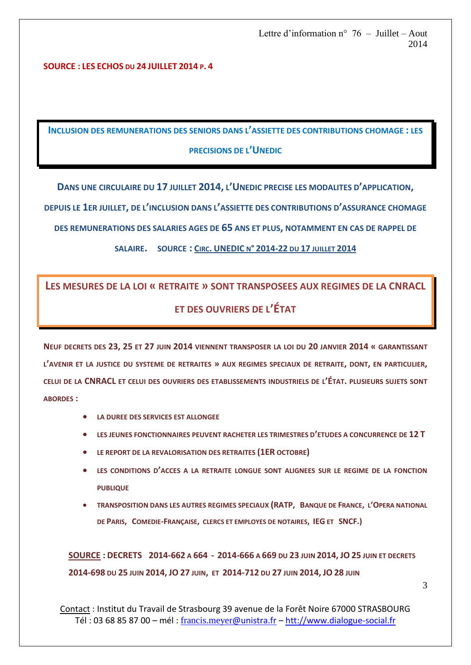**SOURCE : LES ECHOS DU 24 JUILLET 2014 P. 4**

**INCLUSION DES REMUNERATIONS DES SENIORS DANS L'ASSIETTE DES CONTRIBUTIONS CHOMAGE : LES PRECISIONS DE L'UNEDIC**

**DANS UNE CIRCULAIRE DU 17 JUILLET 2014, L'UNEDIC PRECISE LES MODALITES D'APPLICATION,**

**DEPUIS LE 1ER JUILLET, DE L'INCLUSION DANS L'ASSIETTE DES CONTRIBUTIONS D'ASSURANCE CHOMAGE** 

**DES REMUNERATIONS DES SALARIES AGES DE 65 ANS ET PLUS, NOTAMMENT EN CAS DE RAPPEL DE** 

#### **SALAIRE. SOURCE : CIRC. UNEDIC <sup>N</sup>° [2014-22](http://www.unedic.org/article/circulaire-2014-22-du-17-juillet-2014) DU 17 JUILLET 2014**

# **LES MESURES DE LA LOI « RETRAITE » SONT TRANSPOSEES AUX REGIMES DE LA CNRACL ET DES OUVRIERS DE L'ÉTAT**

**NEUF DECRETS DES 23, 25 ET 27 JUIN 2014 VIENNENT TRANSPOSER LA LOI DU 20 JANVIER 2014 « GARANTISSANT L'AVENIR ET LA JUSTICE DU SYSTEME DE RETRAITES » AUX REGIMES SPECIAUX DE RETRAITE, DONT, EN PARTICULIER, CELUI DE LA CNRACL ET CELUI DES OUVRIERS DES ETABLISSEMENTS INDUSTRIELS DE L'ÉTAT. PLUSIEURS SUJETS SONT ABORDES :**

- **LA DUREE DES SERVICES EST ALLONGEE**
- **LES JEUNES FONCTIONNAIRES PEUVENT RACHETER LES TRIMESTRES D'ETUDES A CONCURRENCE DE 12 T**
- **LE REPORT DE LA REVALORISATION DES RETRAITES (1ER OCTOBRE)**
- **LES CONDITIONS D'ACCES A LA RETRAITE LONGUE SONT ALIGNEES SUR LE REGIME DE LA FONCTION PUBLIQUE**
- **TRANSPOSITION DANS LES AUTRES REGIMES SPECIAUX (RATP, BANQUE DE FRANCE, L'OPERA NATIONAL DE PARIS, COMEDIE-FRANÇAISE, CLERCS ET EMPLOYES DE NOTAIRES, IEG ET SNCF.)**

SOURCE : DECRETS 2014-662 A 664 - 2014-666 A 669 DU 23 JUIN 2014, JO 25 JUIN ET DECRETS **2014-698 DU 25 JUIN 2014, JO 27 JUIN, ET 2014-712 DU 27 JUIN 2014, JO 28 JUIN**

3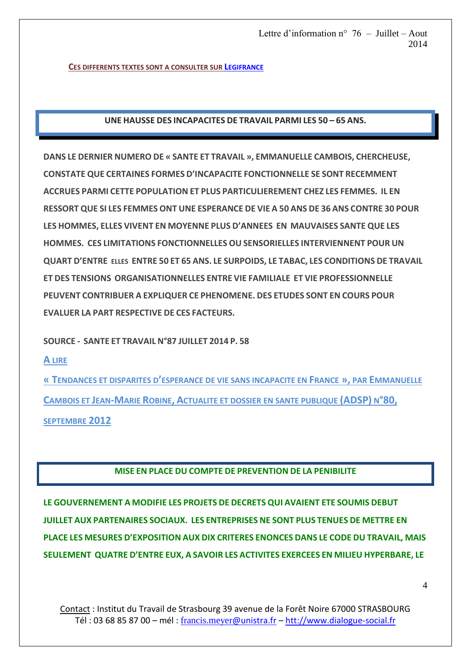**CES DIFFERENTS TEXTES SONT A CONSULTER SUR L[EGIFRANCE](http://www.legifrance.gouv.fr/initRechTexte.do)**

**UNE HAUSSE DES INCAPACITES DE TRAVAIL PARMI LES 50 – 65 ANS.**

**DANS LE DERNIER NUMERO DE « SANTE ET TRAVAIL », EMMANUELLE CAMBOIS, CHERCHEUSE, CONSTATE QUE CERTAINES FORMES D'INCAPACITE FONCTIONNELLE SE SONT RECEMMENT ACCRUES PARMI CETTE POPULATION ET PLUS PARTICULIEREMENT CHEZ LES FEMMES. IL EN RESSORT QUE SI LES FEMMES ONT UNE ESPERANCE DE VIE A 50 ANS DE 36 ANS CONTRE 30 POUR LES HOMMES, ELLES VIVENT EN MOYENNE PLUS D'ANNEES EN MAUVAISES SANTE QUE LES HOMMES. CES LIMITATIONS FONCTIONNELLES OU SENSORIELLES INTERVIENNENT POUR UN QUART D'ENTRE ELLES ENTRE 50 ET 65 ANS. LE SURPOIDS, LE TABAC, LES CONDITIONS DE TRAVAIL ET DES TENSIONS ORGANISATIONNELLES ENTRE VIE FAMILIALE ET VIE PROFESSIONNELLE PEUVENT CONTRIBUER A EXPLIQUER CE PHENOMENE. DES ETUDES SONT EN COURS POUR EVALUER LA PART RESPECTIVE DE CES FACTEURS.**

**SOURCE - SANTE ET TRAVAIL N°87 JUILLET 2014 P. 58**

**A LIRE** 

**« TENDANCES ET DISPARITES D'ESPERANCE DE VIE SANS INCAPACITE EN FRANCE », PAR EMMANUELLE CAMBOIS ET JEAN-MARIE ROBINE, ACTUALITE ET DOSSIER EN SANTE PUBLIQUE (ADSP) N°80, SEPTEMBRE 2012** 

### **MISE EN PLACE DU COMPTE DE PREVENTION DE LA PENIBILITE**

**LE GOUVERNEMENT A MODIFIE LES PROJETS DE DECRETS QUI AVAIENT ETE SOUMIS DEBUT JUILLET AUX PARTENAIRES SOCIAUX. LES ENTREPRISES NE SONT PLUS TENUES DE METTRE EN PLACE LES MESURES D'EXPOSITION AUX DIX CRITERES ENONCES DANS LE CODE DU TRAVAIL, MAIS SEULEMENT QUATRE D'ENTRE EUX, A SAVOIR LES ACTIVITES EXERCEES EN MILIEU HYPERBARE, LE**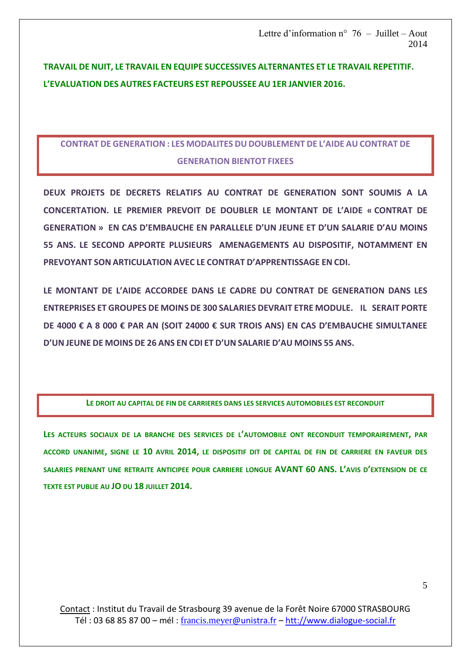## **TRAVAIL DE NUIT, LE TRAVAIL EN EQUIPE SUCCESSIVES ALTERNANTES ET LE TRAVAIL REPETITIF. L'EVALUATION DES AUTRES FACTEURS EST REPOUSSEE AU 1ER JANVIER 2016.**

## **CONTRAT DE GENERATION : LES MODALITES DU DOUBLEMENT DE L'AIDE AU CONTRAT DE GENERATION BIENTOT FIXEES**

**DEUX PROJETS DE DECRETS RELATIFS AU CONTRAT DE GENERATION SONT SOUMIS A LA CONCERTATION. LE PREMIER PREVOIT DE DOUBLER LE MONTANT DE L'AIDE « CONTRAT DE GENERATION » EN CAS D'EMBAUCHE EN PARALLELE D'UN JEUNE ET D'UN SALARIE D'AU MOINS 55 ANS. LE SECOND APPORTE PLUSIEURS AMENAGEMENTS AU DISPOSITIF, NOTAMMENT EN PREVOYANT SON ARTICULATION AVEC LE CONTRAT D'APPRENTISSAGE EN CDI.**

**LE MONTANT DE L'AIDE ACCORDEE DANS LE CADRE DU CONTRAT DE GENERATION DANS LES ENTREPRISES ET GROUPES DE MOINS DE 300 SALARIES DEVRAIT ETRE MODULE. IL SERAIT PORTE DE 4000 € A 8 000 € PAR AN (SOIT 24000 € SUR TROIS ANS) EN CAS D'EMBAUCHE SIMULTANEE D'UN JEUNE DE MOINS DE 26 ANS EN CDI ET D'UN SALARIE D'AU MOINS 55 ANS.**

#### **LE DROIT AU CAPITAL DE FIN DE CARRIERES DANS LES SERVICES AUTOMOBILES EST RECONDUIT**

**LES ACTEURS SOCIAUX DE LA BRANCHE DES SERVICES DE L'AUTOMOBILE ONT RECONDUIT TEMPORAIREMENT, PAR ACCORD UNANIME, SIGNE LE 10 AVRIL 2014, LE DISPOSITIF DIT DE CAPITAL DE FIN DE CARRIERE EN FAVEUR DES SALARIES PRENANT UNE RETRAITE ANTICIPEE POUR CARRIERE LONGUE AVANT 60 ANS. L'AVIS D'EXTENSION DE CE TEXTE EST PUBLIE AU JO DU 18 JUILLET 2014.**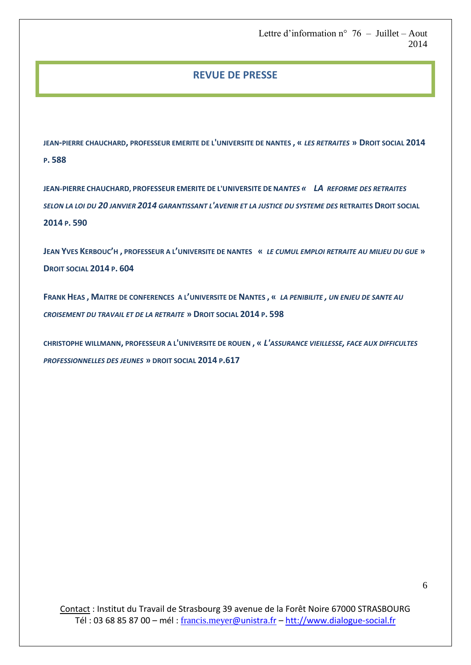### **REVUE DE PRESSE**

**JEAN-PIERRE CHAUCHARD, PROFESSEUR EMERITE DE L'UNIVERSITE DE NANTES , «** *LES RETRAITES* **» DROIT SOCIAL 2014 P. 588**

**JEAN-PIERRE CHAUCHARD, PROFESSEUR EMERITE DE L'UNIVERSITE DE N***ANTES « LA REFORME DES RETRAITES SELON LA LOI DU 20 JANVIER 2014 GARANTISSANT L'AVENIR ET LA JUSTICE DU SYSTEME DES* **RETRAITES DROIT SOCIAL 2014 P. 590**

**JEAN YVES KERBOUC'H , PROFESSEUR A L'UNIVERSITE DE NANTES «** *LE CUMUL EMPLOI RETRAITE AU MILIEU DU GUE* **» DROIT SOCIAL 2014 P. 604**

**FRANK HEAS , MAITRE DE CONFERENCES A L'UNIVERSITE DE NANTES , «** *LA PENIBILITE , UN ENJEU DE SANTE AU CROISEMENT DU TRAVAIL ET DE LA RETRAITE* **» DROIT SOCIAL 2014 P. 598**

**CHRISTOPHE WILLMANN, PROFESSEUR A L'UNIVERSITE DE ROUEN , «** *L'ASSURANCE VIEILLESSE, FACE AUX DIFFICULTES PROFESSIONNELLES DES JEUNES* **» DROIT SOCIAL 2014 P.617**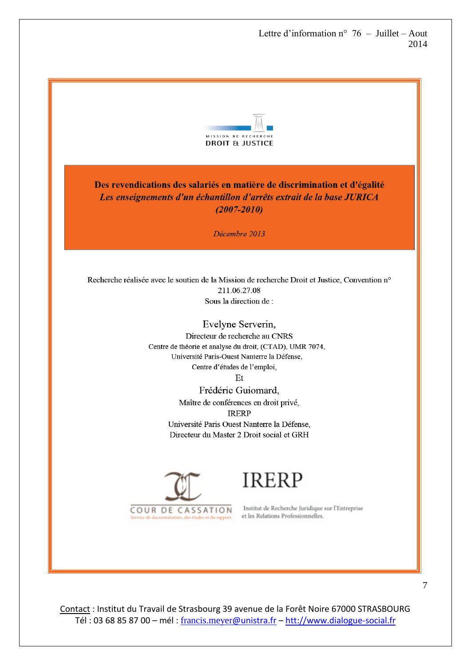

Des revendications des salariés en matière de discrimination et d'égalité Les enseignements d'un échantillon d'arrêts extrait de la base JURICA  $(2007 - 2010)$ 

Décembre 2013

Recherche réalisée avec le soutien de la Mission de recherche Droit et Justice, Convention n° 211.06.27.08 Sous la direction de :

> Evelyne Serverin, Directeur de recherche au CNRS Centre de théorie et analyse du droit, (CTAD), UMR 7074, Université Paris-Ouest Nanterre la Défense, Centre d'études de l'emploi, Et

> > Frédéric Guiomard, Maître de conférences en droit privé, **IRERP** Université Paris Ouest Nanterre la Défense, Directeur du Master 2 Droit social et GRH



**IRERP** 

Institut de Recherche Juridique sur l'Entreprise et les Relations Professionnelles.

Contact : Institut du Travail de Strasbourg 39 avenue de la Forêt Noire 67000 STRASBOURG Tél : 03 68 85 87 00 – mél : [francis.meyer](mailto:francis.meyer@unistra.fr)@unistra.fr – [htt://www.dialogue-social.fr](http://www.dialogue-social.fr/)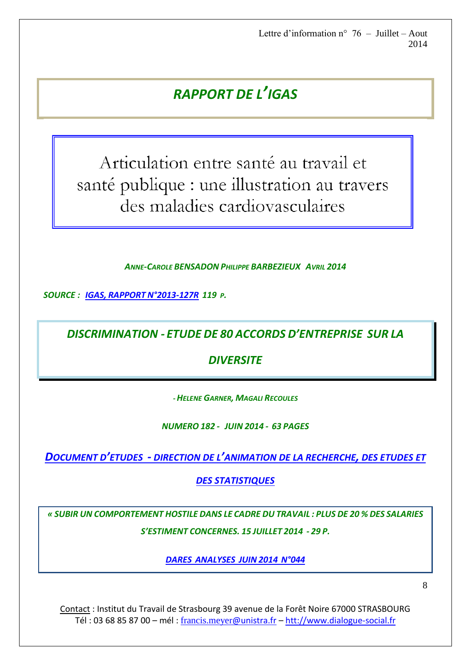# *RAPPORT DE L'IGAS*

Articulation entre santé au travail et santé publique : une illustration au travers des maladies cardiovasculaires

*ANNE-CAROLE BENSADON PHILIPPE BARBEZIEUX AVRIL 2014*

*SOURCE : IGAS, RAPPORT [N°2013-127R](http://www.ladocumentationfrancaise.fr/var/storage/rapports-publics/144000287/0000.pdf) 119 P.*

*DISCRIMINATION - ETUDE DE 80 ACCORDS D'ENTREPRISE SUR LA*

*DIVERSITE*

*-HELENE GARNER, MAGALI RECOULES*

*NUMERO 182 - JUIN 2014 - 63 PAGES*

*DOCUMENT D'ETUDES - DIRECTION DE L'[ANIMATION DE LA RECHERCHE](http://travail-emploi.gouv.fr/etudes-recherches-statistiques-de,76/etudes-et-recherches,77/publications-dares,98/documents-d-etudes,327/2014-182-egalite-diversite,17767.html), DES ETUDES ET* 

*[DES STATISTIQUES](http://travail-emploi.gouv.fr/etudes-recherches-statistiques-de,76/etudes-et-recherches,77/publications-dares,98/documents-d-etudes,327/2014-182-egalite-diversite,17767.html)*

*« SUBIR UN COMPORTEMENT HOSTILE DANS LE CADRE DU TRAVAIL : PLUS DE 20 % DES SALARIES S'ESTIMENT CONCERNES. 15 JUILLET 2014 - 29 P.*

*DARES [ANALYSES](http://travail-emploi.gouv.fr/etudes-recherches-statistiques-de,76/etudes-et-recherches,77/publications-dares,98/dares-analyses-dares-indicateurs,102/2014-044-subir-un-comportement,17779.html) JUIN 2014 N°044* 

8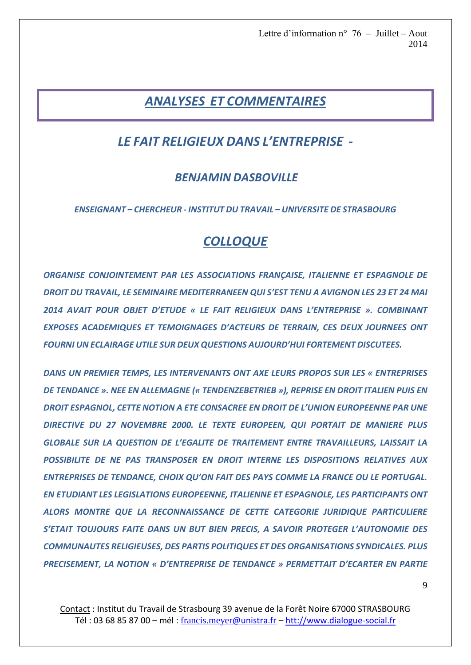# *ANALYSES ET COMMENTAIRES*

## *LE FAIT RELIGIEUX DANS L'ENTREPRISE -*

## *BENJAMIN DASBOVILLE*

*ENSEIGNANT – CHERCHEUR - INSTITUT DU TRAVAIL – UNIVERSITE DE STRASBOURG*

# *COLLOQUE*

*ORGANISE CONJOINTEMENT PAR LES ASSOCIATIONS FRANÇAISE, ITALIENNE ET ESPAGNOLE DE DROIT DU TRAVAIL, LE SEMINAIRE MEDITERRANEEN QUI S'EST TENU A AVIGNON LES 23 ET 24 MAI 2014 AVAIT POUR OBJET D'ETUDE « LE FAIT RELIGIEUX DANS L'ENTREPRISE ». COMBINANT EXPOSES ACADEMIQUES ET TEMOIGNAGES D'ACTEURS DE TERRAIN, CES DEUX JOURNEES ONT FOURNI UN ECLAIRAGE UTILE SUR DEUX QUESTIONS AUJOURD'HUI FORTEMENT DISCUTEES.*

*DANS UN PREMIER TEMPS, LES INTERVENANTS ONT AXE LEURS PROPOS SUR LES « ENTREPRISES DE TENDANCE ». NEE EN ALLEMAGNE (« TENDENZEBETRIEB »), REPRISE EN DROIT ITALIEN PUIS EN DROIT ESPAGNOL, CETTE NOTION A ETE CONSACREE EN DROIT DE L'UNION EUROPEENNE PAR UNE DIRECTIVE DU 27 NOVEMBRE 2000. LE TEXTE EUROPEEN, QUI PORTAIT DE MANIERE PLUS GLOBALE SUR LA QUESTION DE L'EGALITE DE TRAITEMENT ENTRE TRAVAILLEURS, LAISSAIT LA POSSIBILITE DE NE PAS TRANSPOSER EN DROIT INTERNE LES DISPOSITIONS RELATIVES AUX ENTREPRISES DE TENDANCE, CHOIX QU'ON FAIT DES PAYS COMME LA FRANCE OU LE PORTUGAL. EN ETUDIANT LES LEGISLATIONS EUROPEENNE, ITALIENNE ET ESPAGNOLE, LES PARTICIPANTS ONT ALORS MONTRE QUE LA RECONNAISSANCE DE CETTE CATEGORIE JURIDIQUE PARTICULIERE S'ETAIT TOUJOURS FAITE DANS UN BUT BIEN PRECIS, A SAVOIR PROTEGER L'AUTONOMIE DES COMMUNAUTES RELIGIEUSES, DES PARTIS POLITIQUES ET DES ORGANISATIONS SYNDICALES. PLUS PRECISEMENT, LA NOTION « D'ENTREPRISE DE TENDANCE » PERMETTAIT D'ECARTER EN PARTIE*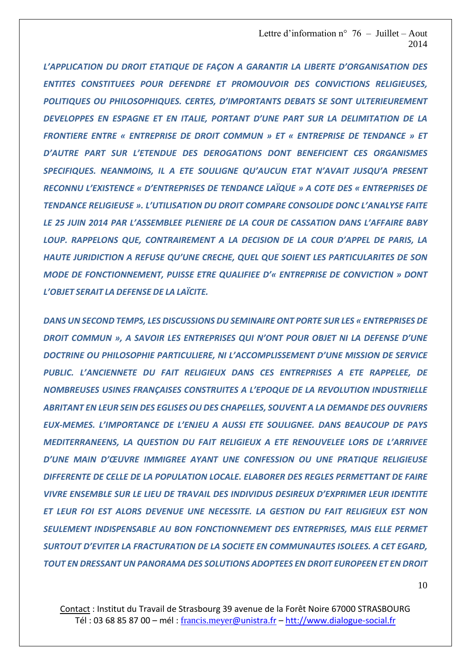*L'APPLICATION DU DROIT ETATIQUE DE FAÇON A GARANTIR LA LIBERTE D'ORGANISATION DES ENTITES CONSTITUEES POUR DEFENDRE ET PROMOUVOIR DES CONVICTIONS RELIGIEUSES, POLITIQUES OU PHILOSOPHIQUES. CERTES, D'IMPORTANTS DEBATS SE SONT ULTERIEUREMENT DEVELOPPES EN ESPAGNE ET EN ITALIE, PORTANT D'UNE PART SUR LA DELIMITATION DE LA FRONTIERE ENTRE « ENTREPRISE DE DROIT COMMUN » ET « ENTREPRISE DE TENDANCE » ET D'AUTRE PART SUR L'ETENDUE DES DEROGATIONS DONT BENEFICIENT CES ORGANISMES SPECIFIQUES. NEANMOINS, IL A ETE SOULIGNE QU'AUCUN ETAT N'AVAIT JUSQU'A PRESENT RECONNU L'EXISTENCE « D'ENTREPRISES DE TENDANCE LAÏQUE » A COTE DES « ENTREPRISES DE TENDANCE RELIGIEUSE ». L'UTILISATION DU DROIT COMPARE CONSOLIDE DONC L'ANALYSE FAITE LE 25 JUIN 2014 PAR L'ASSEMBLEE PLENIERE DE LA COUR DE CASSATION DANS L'AFFAIRE BABY LOUP. RAPPELONS QUE, CONTRAIREMENT A LA DECISION DE LA COUR D'APPEL DE PARIS, LA HAUTE JURIDICTION A REFUSE QU'UNE CRECHE, QUEL QUE SOIENT LES PARTICULARITES DE SON MODE DE FONCTIONNEMENT, PUISSE ETRE QUALIFIEE D'« ENTREPRISE DE CONVICTION » DONT L'OBJET SERAIT LA DEFENSE DE LA LAÏCITE.*

*DANS UN SECOND TEMPS, LES DISCUSSIONS DU SEMINAIRE ONT PORTE SUR LES « ENTREPRISES DE DROIT COMMUN », A SAVOIR LES ENTREPRISES QUI N'ONT POUR OBJET NI LA DEFENSE D'UNE DOCTRINE OU PHILOSOPHIE PARTICULIERE, NI L'ACCOMPLISSEMENT D'UNE MISSION DE SERVICE PUBLIC. L'ANCIENNETE DU FAIT RELIGIEUX DANS CES ENTREPRISES A ETE RAPPELEE, DE NOMBREUSES USINES FRANÇAISES CONSTRUITES A L'EPOQUE DE LA REVOLUTION INDUSTRIELLE ABRITANT EN LEUR SEIN DES EGLISES OU DES CHAPELLES, SOUVENT A LA DEMANDE DES OUVRIERS EUX-MEMES. L'IMPORTANCE DE L'ENJEU A AUSSI ETE SOULIGNEE. DANS BEAUCOUP DE PAYS MEDITERRANEENS, LA QUESTION DU FAIT RELIGIEUX A ETE RENOUVELEE LORS DE L'ARRIVEE D'UNE MAIN D'ŒUVRE IMMIGREE AYANT UNE CONFESSION OU UNE PRATIQUE RELIGIEUSE DIFFERENTE DE CELLE DE LA POPULATION LOCALE. ELABORER DES REGLES PERMETTANT DE FAIRE VIVRE ENSEMBLE SUR LE LIEU DE TRAVAIL DES INDIVIDUS DESIREUX D'EXPRIMER LEUR IDENTITE ET LEUR FOI EST ALORS DEVENUE UNE NECESSITE. LA GESTION DU FAIT RELIGIEUX EST NON SEULEMENT INDISPENSABLE AU BON FONCTIONNEMENT DES ENTREPRISES, MAIS ELLE PERMET SURTOUT D'EVITER LA FRACTURATION DE LA SOCIETE EN COMMUNAUTES ISOLEES. A CET EGARD, TOUT EN DRESSANT UN PANORAMA DES SOLUTIONS ADOPTEES EN DROIT EUROPEEN ET EN DROIT*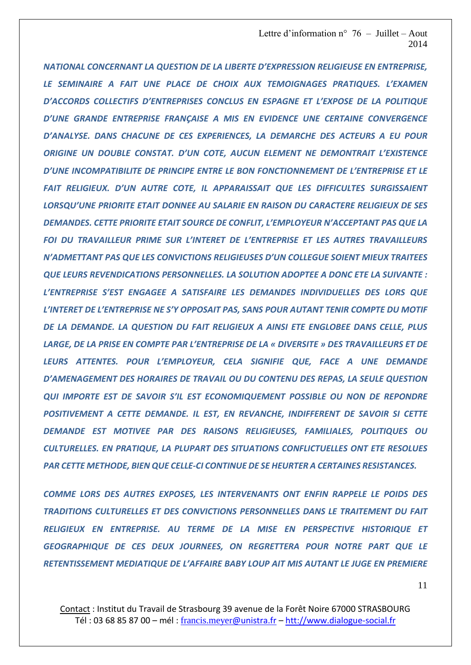*NATIONAL CONCERNANT LA QUESTION DE LA LIBERTE D'EXPRESSION RELIGIEUSE EN ENTREPRISE, LE SEMINAIRE A FAIT UNE PLACE DE CHOIX AUX TEMOIGNAGES PRATIQUES. L'EXAMEN D'ACCORDS COLLECTIFS D'ENTREPRISES CONCLUS EN ESPAGNE ET L'EXPOSE DE LA POLITIQUE D'UNE GRANDE ENTREPRISE FRANÇAISE A MIS EN EVIDENCE UNE CERTAINE CONVERGENCE D'ANALYSE. DANS CHACUNE DE CES EXPERIENCES, LA DEMARCHE DES ACTEURS A EU POUR ORIGINE UN DOUBLE CONSTAT. D'UN COTE, AUCUN ELEMENT NE DEMONTRAIT L'EXISTENCE D'UNE INCOMPATIBILITE DE PRINCIPE ENTRE LE BON FONCTIONNEMENT DE L'ENTREPRISE ET LE FAIT RELIGIEUX. D'UN AUTRE COTE, IL APPARAISSAIT QUE LES DIFFICULTES SURGISSAIENT LORSQU'UNE PRIORITE ETAIT DONNEE AU SALARIE EN RAISON DU CARACTERE RELIGIEUX DE SES DEMANDES. CETTE PRIORITE ETAIT SOURCE DE CONFLIT, L'EMPLOYEUR N'ACCEPTANT PAS QUE LA FOI DU TRAVAILLEUR PRIME SUR L'INTERET DE L'ENTREPRISE ET LES AUTRES TRAVAILLEURS N'ADMETTANT PAS QUE LES CONVICTIONS RELIGIEUSES D'UN COLLEGUE SOIENT MIEUX TRAITEES QUE LEURS REVENDICATIONS PERSONNELLES. LA SOLUTION ADOPTEE A DONC ETE LA SUIVANTE : L'ENTREPRISE S'EST ENGAGEE A SATISFAIRE LES DEMANDES INDIVIDUELLES DES LORS QUE L'INTERET DE L'ENTREPRISE NE S'Y OPPOSAIT PAS, SANS POUR AUTANT TENIR COMPTE DU MOTIF DE LA DEMANDE. LA QUESTION DU FAIT RELIGIEUX A AINSI ETE ENGLOBEE DANS CELLE, PLUS LARGE, DE LA PRISE EN COMPTE PAR L'ENTREPRISE DE LA « DIVERSITE » DES TRAVAILLEURS ET DE LEURS ATTENTES. POUR L'EMPLOYEUR, CELA SIGNIFIE QUE, FACE A UNE DEMANDE D'AMENAGEMENT DES HORAIRES DE TRAVAIL OU DU CONTENU DES REPAS, LA SEULE QUESTION QUI IMPORTE EST DE SAVOIR S'IL EST ECONOMIQUEMENT POSSIBLE OU NON DE REPONDRE POSITIVEMENT A CETTE DEMANDE. IL EST, EN REVANCHE, INDIFFERENT DE SAVOIR SI CETTE DEMANDE EST MOTIVEE PAR DES RAISONS RELIGIEUSES, FAMILIALES, POLITIQUES OU CULTURELLES. EN PRATIQUE, LA PLUPART DES SITUATIONS CONFLICTUELLES ONT ETE RESOLUES PAR CETTE METHODE, BIEN QUE CELLE-CI CONTINUE DE SE HEURTER A CERTAINES RESISTANCES.*

*COMME LORS DES AUTRES EXPOSES, LES INTERVENANTS ONT ENFIN RAPPELE LE POIDS DES TRADITIONS CULTURELLES ET DES CONVICTIONS PERSONNELLES DANS LE TRAITEMENT DU FAIT RELIGIEUX EN ENTREPRISE. AU TERME DE LA MISE EN PERSPECTIVE HISTORIQUE ET GEOGRAPHIQUE DE CES DEUX JOURNEES, ON REGRETTERA POUR NOTRE PART QUE LE RETENTISSEMENT MEDIATIQUE DE L'AFFAIRE BABY LOUP AIT MIS AUTANT LE JUGE EN PREMIERE*

11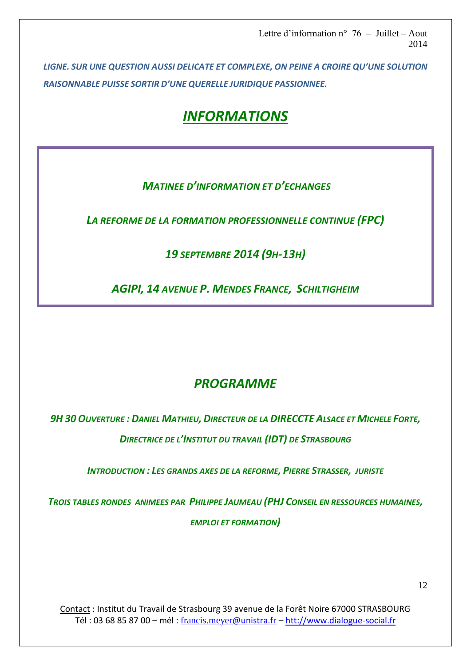*LIGNE. SUR UNE QUESTION AUSSI DELICATE ET COMPLEXE, ON PEINE A CROIRE QU'UNE SOLUTION RAISONNABLE PUISSE SORTIR D'UNE QUERELLE JURIDIQUE PASSIONNEE.* 

# *INFORMATIONS*

## *MATINEE D'INFORMATION ET D'ECHANGES*

*LA REFORME DE LA FORMATION PROFESSIONNELLE CONTINUE (FPC)*

## *19 SEPTEMBRE 2014 (9H-13H)*

*AGIPI, 14 AVENUE P. MENDES FRANCE, SCHILTIGHEIM* 

# *PROGRAMME*

*9H 30 OUVERTURE : DANIEL MATHIEU, DIRECTEUR DE LA DIRECCTE ALSACE ET MICHELE FORTE, DIRECTRICE DE L'INSTITUT DU TRAVAIL (IDT) DE STRASBOURG*

*INTRODUCTION : LES GRANDS AXES DE LA REFORME, PIERRE STRASSER, JURISTE* 

*TROIS TABLES RONDES ANIMEES PAR PHILIPPE JAUMEAU (PHJ CONSEIL EN RESSOURCES HUMAINES, EMPLOI ET FORMATION)*

Contact : Institut du Travail de Strasbourg 39 avenue de la Forêt Noire 67000 STRASBOURG Tél : 03 68 85 87 00 – mél : [francis.meyer](mailto:francis.meyer@unistra.fr)@unistra.fr – [htt://www.dialogue-social.fr](http://www.dialogue-social.fr/)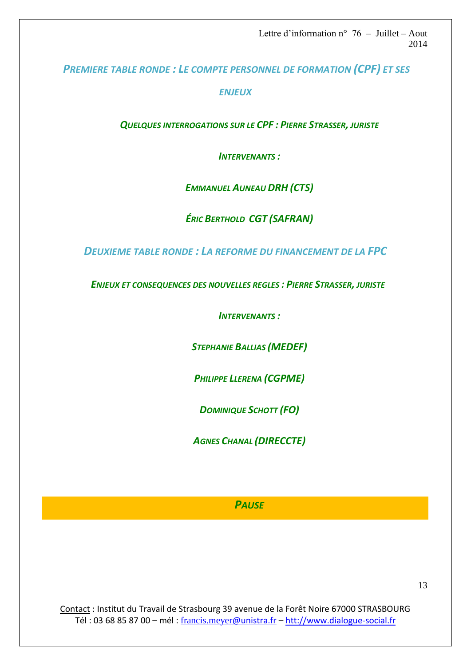*PREMIERE TABLE RONDE : LE COMPTE PERSONNEL DE FORMATION (CPF) ET SES* 

*ENJEUX*

*QUELQUES INTERROGATIONS SUR LE CPF : PIERRE STRASSER, JURISTE*

*INTERVENANTS :*

*EMMANUEL AUNEAU DRH (CTS)*

*ÉRIC BERTHOLD CGT (SAFRAN)*

*DEUXIEME TABLE RONDE : LA REFORME DU FINANCEMENT DE LA FPC*

 *ENJEUX ET CONSEQUENCES DES NOUVELLES REGLES : PIERRE STRASSER, JURISTE*

*INTERVENANTS :*

*STEPHANIE BALLIAS (MEDEF)*

*PHILIPPE LLERENA (CGPME)*

*DOMINIQUE SCHOTT (FO)*

*AGNES CHANAL (DIRECCTE)*

### *PAUSE*

Contact : Institut du Travail de Strasbourg 39 avenue de la Forêt Noire 67000 STRASBOURG Tél : 03 68 85 87 00 – mél : [francis.meyer](mailto:francis.meyer@unistra.fr)@unistra.fr – [htt://www.dialogue-social.fr](http://www.dialogue-social.fr/)